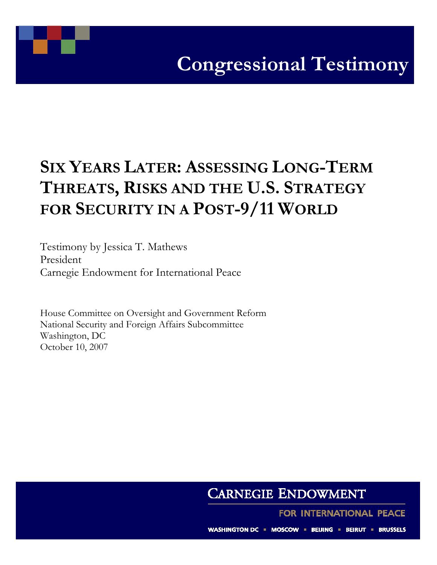

## SIX YEARS LATER: ASSESSING LONG-TERM THREATS, RISKS AND THE U.S. STRATEGY FOR SECURITY IN A POST-9/11 WORLD

Testimony by Jessica T. Mathews President Carnegie Endowment for International Peace

House Committee on Oversight and Government Reform National Security and Foreign Affairs Subcommittee Washington, DC October 10, 2007

## **CARNEGIE ENDOWMENT**

FOR INTERNATIONAL PEACE

WASHINGTON DC = MOSCOW = BEIJING = BEIRUT = BRUSSELS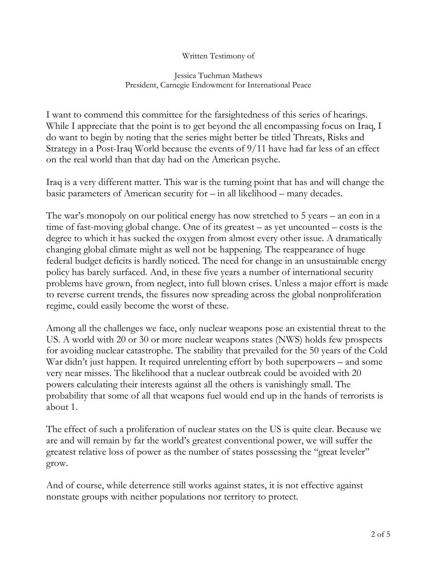## Written Testimony of

## Jessica Tuchman Mathews President, Carnegie Endowment for International Peace

I want to commend this committee for the farsightedness of this series of hearings. While I appreciate that the point is to get beyond the all encompassing focus on Iraq, I do want to begin by noting that the series might better be titled Threats, Risks and Strategy in a Post-Iraq World because the events of 9/11 have had far less of an effect on the real world than that day had on the American psyche.

Iraq is a very different matter. This war is the turning point that has and will change the basic parameters of American security for – in all likelihood – many decades.

The war's monopoly on our political energy has now stretched to 5 years – an eon in a time of fast-moving global change. One of its greatest – as yet uncounted – costs is the degree to which it has sucked the oxygen from almost every other issue. A dramatically changing global climate might as well not be happening. The reappearance of huge federal budget deficits is hardly noticed. The need for change in an unsustainable energy policy has barely surfaced. And, in these five years a number of international security problems have grown, from neglect, into full blown crises. Unless a major effort is made to reverse current trends, the fissures now spreading across the global nonproliferation regime, could easily become the worst of these.

Among all the challenges we face, only nuclear weapons pose an existential threat to the US. A world with 20 or 30 or more nuclear weapons states (NWS) holds few prospects for avoiding nuclear catastrophe. The stability that prevailed for the 50 years of the Cold War didn't just happen. It required unrelenting effort by both superpowers – and some very near misses. The likelihood that a nuclear outbreak could be avoided with 20 powers calculating their interests against all the others is vanishingly small. The probability that some of all that weapons fuel would end up in the hands of terrorists is about 1.

The effect of such a proliferation of nuclear states on the US is quite clear. Because we are and will remain by far the world's greatest conventional power, we will suffer the greatest relative loss of power as the number of states possessing the "great leveler" grow.

And of course, while deterrence still works against states, it is not effective against nonstate groups with neither populations nor territory to protect.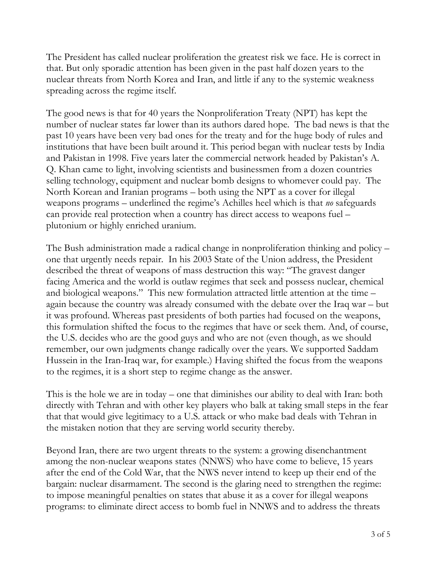The President has called nuclear proliferation the greatest risk we face. He is correct in that. But only sporadic attention has been given in the past half dozen years to the nuclear threats from North Korea and Iran, and little if any to the systemic weakness spreading across the regime itself.

The good news is that for 40 years the Nonproliferation Treaty (NPT) has kept the number of nuclear states far lower than its authors dared hope. The bad news is that the past 10 years have been very bad ones for the treaty and for the huge body of rules and institutions that have been built around it. This period began with nuclear tests by India and Pakistan in 1998. Five years later the commercial network headed by Pakistan's A. Q. Khan came to light, involving scientists and businessmen from a dozen countries selling technology, equipment and nuclear bomb designs to whomever could pay. The North Korean and Iranian programs – both using the NPT as a cover for illegal weapons programs – underlined the regime's Achilles heel which is that *no* safeguards can provide real protection when a country has direct access to weapons fuel – plutonium or highly enriched uranium.

The Bush administration made a radical change in nonproliferation thinking and policy – one that urgently needs repair. In his 2003 State of the Union address, the President described the threat of weapons of mass destruction this way: "The gravest danger facing America and the world is outlaw regimes that seek and possess nuclear, chemical and biological weapons." This new formulation attracted little attention at the time – again because the country was already consumed with the debate over the Iraq war – but it was profound. Whereas past presidents of both parties had focused on the weapons, this formulation shifted the focus to the regimes that have or seek them. And, of course, the U.S. decides who are the good guys and who are not (even though, as we should remember, our own judgments change radically over the years. We supported Saddam Hussein in the Iran-Iraq war, for example.) Having shifted the focus from the weapons to the regimes, it is a short step to regime change as the answer.

This is the hole we are in today – one that diminishes our ability to deal with Iran: both directly with Tehran and with other key players who balk at taking small steps in the fear that that would give legitimacy to a U.S. attack or who make bad deals with Tehran in the mistaken notion that they are serving world security thereby.

Beyond Iran, there are two urgent threats to the system: a growing disenchantment among the non-nuclear weapons states (NNWS) who have come to believe, 15 years after the end of the Cold War, that the NWS never intend to keep up their end of the bargain: nuclear disarmament. The second is the glaring need to strengthen the regime: to impose meaningful penalties on states that abuse it as a cover for illegal weapons programs: to eliminate direct access to bomb fuel in NNWS and to address the threats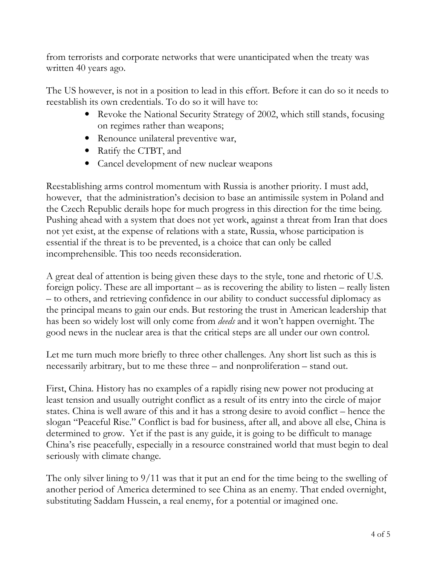from terrorists and corporate networks that were unanticipated when the treaty was written 40 years ago.

The US however, is not in a position to lead in this effort. Before it can do so it needs to reestablish its own credentials. To do so it will have to:

- Revoke the National Security Strategy of 2002, which still stands, focusing on regimes rather than weapons;
- Renounce unilateral preventive war,
- Ratify the CTBT, and
- Cancel development of new nuclear weapons

Reestablishing arms control momentum with Russia is another priority. I must add, however, that the administration's decision to base an antimissile system in Poland and the Czech Republic derails hope for much progress in this direction for the time being. Pushing ahead with a system that does not yet work, against a threat from Iran that does not yet exist, at the expense of relations with a state, Russia, whose participation is essential if the threat is to be prevented, is a choice that can only be called incomprehensible. This too needs reconsideration.

A great deal of attention is being given these days to the style, tone and rhetoric of U.S. foreign policy. These are all important – as is recovering the ability to listen – really listen – to others, and retrieving confidence in our ability to conduct successful diplomacy as the principal means to gain our ends. But restoring the trust in American leadership that has been so widely lost will only come from *deeds* and it won't happen overnight. The good news in the nuclear area is that the critical steps are all under our own control.

Let me turn much more briefly to three other challenges. Any short list such as this is necessarily arbitrary, but to me these three – and nonproliferation – stand out.

First, China. History has no examples of a rapidly rising new power not producing at least tension and usually outright conflict as a result of its entry into the circle of major states. China is well aware of this and it has a strong desire to avoid conflict – hence the slogan "Peaceful Rise." Conflict is bad for business, after all, and above all else, China is determined to grow. Yet if the past is any guide, it is going to be difficult to manage China's rise peacefully, especially in a resource constrained world that must begin to deal seriously with climate change.

The only silver lining to 9/11 was that it put an end for the time being to the swelling of another period of America determined to see China as an enemy. That ended overnight, substituting Saddam Hussein, a real enemy, for a potential or imagined one.